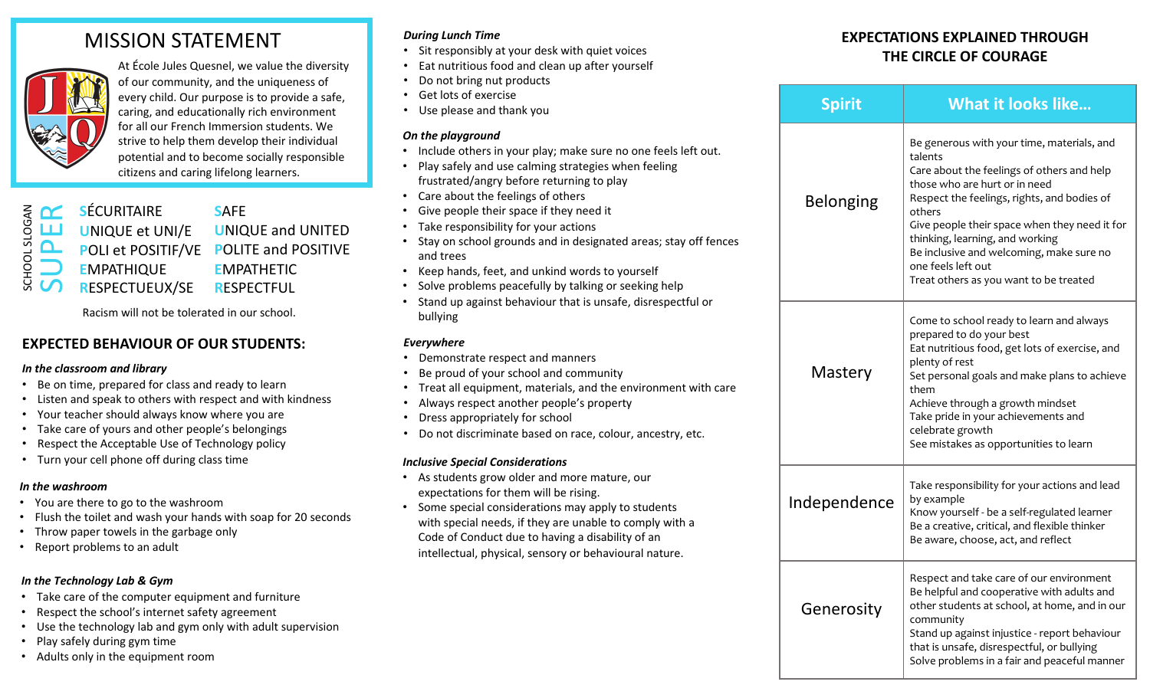# MISSION STATEMENT



At École Jules Quesnel, we value the diversity of our community, and the uniqueness of every child. Our purpose is to provide a safe, caring, and educationally rich environment for all our French Immersion students. We strive to help them develop their individual potential and to become socially responsible citizens and caring lifelong learners.

|                          |          | $\overline{z}$ $\overline{C}$ sécuritaire       | <b>SAFE</b>                            |
|--------------------------|----------|-------------------------------------------------|----------------------------------------|
| SLOG <sub>1</sub>        |          | <b>LLJ</b> UNIQUE et UNI/E                      | <b>UNIQUE and UNITED</b>               |
| $\overline{\phantom{0}}$ | $\Delta$ |                                                 | POLI et POSITIF/VE POLITE and POSITIVE |
| Ō.                       |          | <b>EMPATHIQUE</b>                               | <b>EMPATHETIC</b>                      |
|                          |          | $\overline{\mathbb{S}}$ <b>C</b> RESPECTUEUX/SE | <b>RESPECTFUL</b>                      |
|                          |          |                                                 |                                        |

Racism will not be tolerated in our school.

# **EXPECTED BEHAVIOUR OF OUR STUDENTS:**

#### *In the classroom and library*

- Be on time, prepared for class and ready to learn
- Listen and speak to others with respect and with kindness
- Your teacher should always know where you are
- Take care of yours and other people's belongings
- Respect the Acceptable Use of Technology policy
- Turn your cell phone off during class time

### *In the washroom*

- You are there to go to the washroom
- Flush the toilet and wash your hands with soap for 20 seconds
- Throw paper towels in the garbage only
- Report problems to an adult

# *In the Technology Lab & Gym*

- Take care of the computer equipment and furniture
- Respect the school's internet safety agreement
- Use the technology lab and gym only with adult supervision
- Play safely during gym time
- Adults only in the equipment room

# *During Lunch Time*

- Sit responsibly at your desk with quiet voices
- Eat nutritious food and clean up after yourself
- Do not bring nut products
- Get lots of exercise
- Use please and thank you

# *On the playground*

- Include others in your play; make sure no one feels left out.
- Play safely and use calming strategies when feeling frustrated/angry before returning to play
- Care about the feelings of others
- Give people their space if they need it
- Take responsibility for your actions
- Stay on school grounds and in designated areas; stay off fences and trees
- Keep hands, feet, and unkind words to yourself
- Solve problems peacefully by talking or seeking help
- Stand up against behaviour that is unsafe, disrespectful or bullying

# *Everywhere*

- Demonstrate respect and manners
- Be proud of your school and community
- Treat all equipment, materials, and the environment with care
- Always respect another people's property
- Dress appropriately for school
- Do not discriminate based on race, colour, ancestry, etc.

# *Inclusive Special Considerations*

- As students grow older and more mature, our expectations for them will be rising.
- Some special considerations may apply to students with special needs, if they are unable to comply with a Code of Conduct due to having a disability of an intellectual, physical, sensory or behavioural nature.

# **EXPECTATIONS EXPLAINED THROUGH THE CIRCLE OF COURAGE**

|  | <b>Spirit</b>    | What it looks like                                                                                                                                                                                                                                                                                                                                                                            |  |
|--|------------------|-----------------------------------------------------------------------------------------------------------------------------------------------------------------------------------------------------------------------------------------------------------------------------------------------------------------------------------------------------------------------------------------------|--|
|  | <b>Belonging</b> | Be generous with your time, materials, and<br>talents<br>Care about the feelings of others and help<br>those who are hurt or in need<br>Respect the feelings, rights, and bodies of<br>others<br>Give people their space when they need it for<br>thinking, learning, and working<br>Be inclusive and welcoming, make sure no<br>one feels left out<br>Treat others as you want to be treated |  |
|  | Mastery          | Come to school ready to learn and always<br>prepared to do your best<br>Eat nutritious food, get lots of exercise, and<br>plenty of rest<br>Set personal goals and make plans to achieve<br>them<br>Achieve through a growth mindset<br>Take pride in your achievements and<br>celebrate growth<br>See mistakes as opportunities to learn                                                     |  |
|  | Independence     | Take responsibility for your actions and lead<br>by example<br>Know yourself - be a self-regulated learner<br>Be a creative, critical, and flexible thinker<br>Be aware, choose, act, and reflect                                                                                                                                                                                             |  |
|  | Generosity       | Respect and take care of our environment<br>Be helpful and cooperative with adults and<br>other students at school, at home, and in our<br>community<br>Stand up against injustice - report behaviour<br>that is unsafe, disrespectful, or bullying<br>Solve problems in a fair and peaceful manner                                                                                           |  |